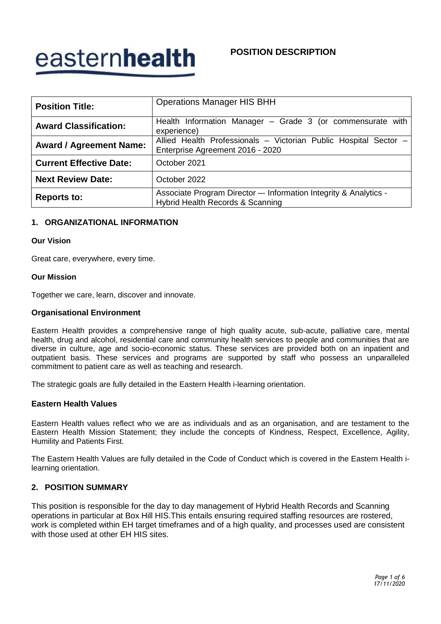# easternhealth

# **POSITION DESCRIPTION**

| <b>Position Title:</b>         | <b>Operations Manager HIS BHH</b>                                                                     |  |
|--------------------------------|-------------------------------------------------------------------------------------------------------|--|
| <b>Award Classification:</b>   | Health Information Manager - Grade 3 (or commensurate with<br>experience)                             |  |
| <b>Award / Agreement Name:</b> | Allied Health Professionals - Victorian Public Hospital Sector -<br>Enterprise Agreement 2016 - 2020  |  |
| <b>Current Effective Date:</b> | October 2021                                                                                          |  |
| <b>Next Review Date:</b>       | October 2022                                                                                          |  |
| <b>Reports to:</b>             | Associate Program Director -- Information Integrity & Analytics -<br>Hybrid Health Records & Scanning |  |

### **1. ORGANIZATIONAL INFORMATION**

#### **Our Vision**

Great care, everywhere, every time.

#### **Our Mission**

Together we care, learn, discover and innovate.

#### **Organisational Environment**

Eastern Health provides a comprehensive range of high quality acute, sub-acute, palliative care, mental health, drug and alcohol, residential care and community health services to people and communities that are diverse in culture, age and socio-economic status. These services are provided both on an inpatient and outpatient basis. These services and programs are supported by staff who possess an unparalleled commitment to patient care as well as teaching and research.

The strategic goals are fully detailed in the Eastern Health i-learning orientation.

#### **Eastern Health Values**

Eastern Health values reflect who we are as individuals and as an organisation, and are testament to the Eastern Health Mission Statement; they include the concepts of Kindness, Respect, Excellence, Agility, Humility and Patients First.

The Eastern Health Values are fully detailed in the Code of Conduct which is covered in the Eastern Health ilearning orientation.

#### **2. POSITION SUMMARY**

This position is responsible for the day to day management of Hybrid Health Records and Scanning operations in particular at Box Hill HIS.This entails ensuring required staffing resources are rostered, work is completed within EH target timeframes and of a high quality, and processes used are consistent with those used at other EH HIS sites.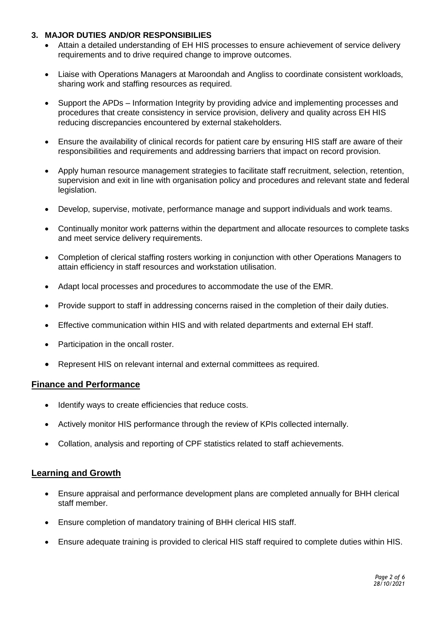# **3. MAJOR DUTIES AND/OR RESPONSIBILIES**

- Attain a detailed understanding of EH HIS processes to ensure achievement of service delivery requirements and to drive required change to improve outcomes.
- Liaise with Operations Managers at Maroondah and Angliss to coordinate consistent workloads, sharing work and staffing resources as required.
- Support the APDs Information Integrity by providing advice and implementing processes and procedures that create consistency in service provision, delivery and quality across EH HIS reducing discrepancies encountered by external stakeholders.
- Ensure the availability of clinical records for patient care by ensuring HIS staff are aware of their responsibilities and requirements and addressing barriers that impact on record provision.
- Apply human resource management strategies to facilitate staff recruitment, selection, retention, supervision and exit in line with organisation policy and procedures and relevant state and federal legislation.
- Develop, supervise, motivate, performance manage and support individuals and work teams.
- Continually monitor work patterns within the department and allocate resources to complete tasks and meet service delivery requirements.
- Completion of clerical staffing rosters working in conjunction with other Operations Managers to attain efficiency in staff resources and workstation utilisation.
- Adapt local processes and procedures to accommodate the use of the EMR.
- Provide support to staff in addressing concerns raised in the completion of their daily duties.
- Effective communication within HIS and with related departments and external EH staff.
- Participation in the oncall roster.
- Represent HIS on relevant internal and external committees as required.

## **Finance and Performance**

- Identify ways to create efficiencies that reduce costs.
- Actively monitor HIS performance through the review of KPIs collected internally.
- Collation, analysis and reporting of CPF statistics related to staff achievements.

## **Learning and Growth**

- Ensure appraisal and performance development plans are completed annually for BHH clerical staff member.
- Ensure completion of mandatory training of BHH clerical HIS staff.
- Ensure adequate training is provided to clerical HIS staff required to complete duties within HIS.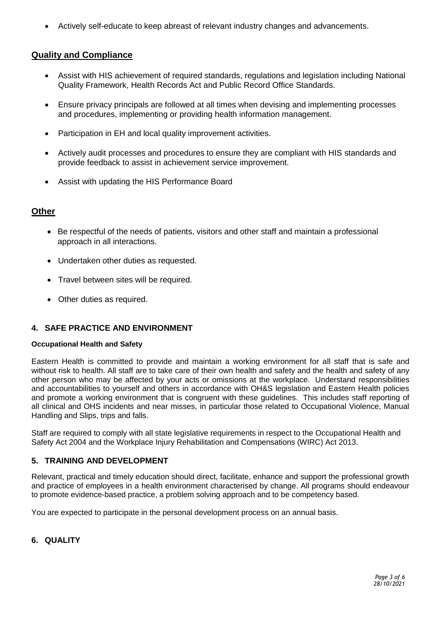Actively self-educate to keep abreast of relevant industry changes and advancements.

# **Quality and Compliance**

- Assist with HIS achievement of required standards, regulations and legislation including National Quality Framework, Health Records Act and Public Record Office Standards.
- Ensure privacy principals are followed at all times when devising and implementing processes and procedures, implementing or providing health information management.
- Participation in EH and local quality improvement activities.
- Actively audit processes and procedures to ensure they are compliant with HIS standards and provide feedback to assist in achievement service improvement.
- Assist with updating the HIS Performance Board

# **Other**

- Be respectful of the needs of patients, visitors and other staff and maintain a professional approach in all interactions.
- Undertaken other duties as requested.
- Travel between sites will be required.
- Other duties as required.

# **4. SAFE PRACTICE AND ENVIRONMENT**

#### **Occupational Health and Safety**

Eastern Health is committed to provide and maintain a working environment for all staff that is safe and without risk to health. All staff are to take care of their own health and safety and the health and safety of any other person who may be affected by your acts or omissions at the workplace. Understand responsibilities and accountabilities to yourself and others in accordance with OH&S legislation and Eastern Health policies and promote a working environment that is congruent with these guidelines. This includes staff reporting of all clinical and OHS incidents and near misses, in particular those related to Occupational Violence, Manual Handling and Slips, trips and falls.

Staff are required to comply with all state legislative requirements in respect to the Occupational Health and Safety Act 2004 and the Workplace Injury Rehabilitation and Compensations (WIRC) Act 2013.

## **5. TRAINING AND DEVELOPMENT**

Relevant, practical and timely education should direct, facilitate, enhance and support the professional growth and practice of employees in a health environment characterised by change. All programs should endeavour to promote evidence-based practice, a problem solving approach and to be competency based.

You are expected to participate in the personal development process on an annual basis.

## **6. QUALITY**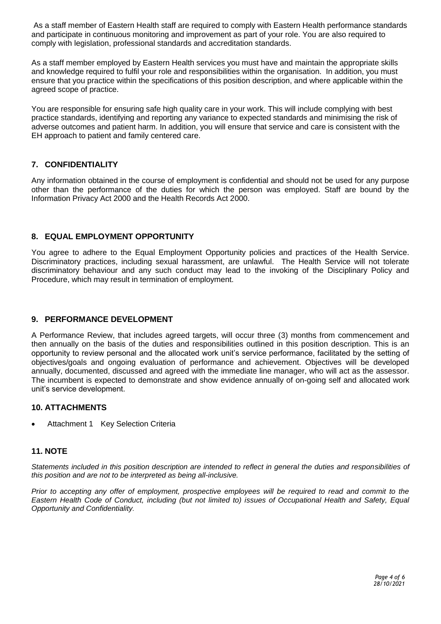As a staff member of Eastern Health staff are required to comply with Eastern Health performance standards and participate in continuous monitoring and improvement as part of your role. You are also required to comply with legislation, professional standards and accreditation standards.

As a staff member employed by Eastern Health services you must have and maintain the appropriate skills and knowledge required to fulfil your role and responsibilities within the organisation. In addition, you must ensure that you practice within the specifications of this position description, and where applicable within the agreed scope of practice.

You are responsible for ensuring safe high quality care in your work. This will include complying with best practice standards, identifying and reporting any variance to expected standards and minimising the risk of adverse outcomes and patient harm. In addition, you will ensure that service and care is consistent with the EH approach to patient and family centered care.

# **7. CONFIDENTIALITY**

Any information obtained in the course of employment is confidential and should not be used for any purpose other than the performance of the duties for which the person was employed. Staff are bound by the Information Privacy Act 2000 and the Health Records Act 2000.

## **8. EQUAL EMPLOYMENT OPPORTUNITY**

You agree to adhere to the Equal Employment Opportunity policies and practices of the Health Service. Discriminatory practices, including sexual harassment, are unlawful. The Health Service will not tolerate discriminatory behaviour and any such conduct may lead to the invoking of the Disciplinary Policy and Procedure, which may result in termination of employment.

## **9. PERFORMANCE DEVELOPMENT**

A Performance Review, that includes agreed targets, will occur three (3) months from commencement and then annually on the basis of the duties and responsibilities outlined in this position description. This is an opportunity to review personal and the allocated work unit's service performance, facilitated by the setting of objectives/goals and ongoing evaluation of performance and achievement. Objectives will be developed annually, documented, discussed and agreed with the immediate line manager, who will act as the assessor. The incumbent is expected to demonstrate and show evidence annually of on-going self and allocated work unit's service development.

## **10. ATTACHMENTS**

Attachment 1 Key Selection Criteria

#### **11. NOTE**

*Statements included in this position description are intended to reflect in general the duties and responsibilities of this position and are not to be interpreted as being all-inclusive.*

*Prior to accepting any offer of employment, prospective employees will be required to read and commit to the Eastern Health Code of Conduct, including (but not limited to) issues of Occupational Health and Safety, Equal Opportunity and Confidentiality.*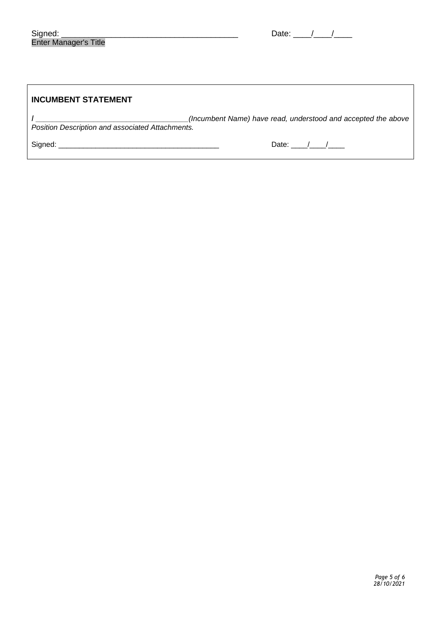| <b>INCUMBENT STATEMENT</b>                       |                                                               |
|--------------------------------------------------|---------------------------------------------------------------|
| Position Description and associated Attachments. | (Incumbent Name) have read, understood and accepted the above |
| Signed:                                          | Date: $/$ /                                                   |